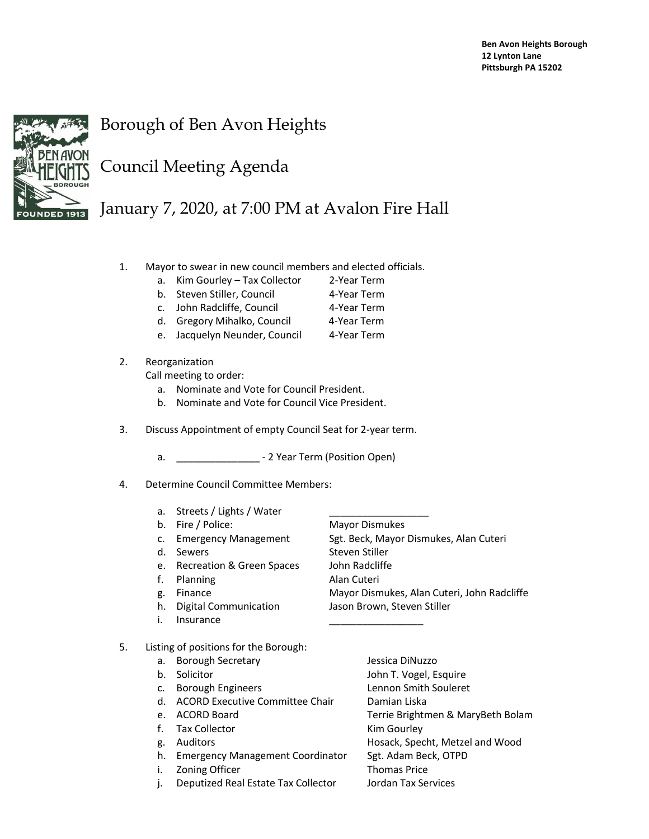

## Borough of Ben Avon Heights

## Council Meeting Agenda

## January 7, 2020, at 7:00 PM at Avalon Fire Hall

- 1. Mayor to swear in new council members and elected officials.
	- a. Kim Gourley Tax Collector 2-Year Term
	- b. Steven Stiller, Council **4-Year Term**
	- c. John Radcliffe, Council 4-Year Term
	- d. Gregory Mihalko, Council 4-Year Term
	- e. Jacquelyn Neunder, Council 4-Year Term

## 2. Reorganization

Call meeting to order:

- a. Nominate and Vote for Council President.
- b. Nominate and Vote for Council Vice President.
- 3. Discuss Appointment of empty Council Seat for 2-year term.
	- a. **\_\_\_\_\_\_\_\_\_\_\_\_\_\_\_\_** 2 Year Term (Position Open)
- 4. Determine Council Committee Members:
	- a. Streets / Lights / Water
	- b. Fire / Police: Mayor Dismukes
	-
	-
	- e. Recreation & Green Spaces John Radcliffe
	- f. Planning **Alan Cuteri**
	-
	-
	- i. Insurance

c. Emergency Management Sgt. Beck, Mayor Dismukes, Alan Cuteri d. Sewers Steven Stiller g. Finance Mayor Dismukes, Alan Cuteri, John Radcliffe h. Digital Communication Jason Brown, Steven Stiller

- 5. Listing of positions for the Borough:
	- a. Borough Secretary **Bilang Contract Contract Secretary** Jessica DiNuzzo b. Solicitor **John T. Vogel, Esquire** c. Borough Engineers Lennon Smith Souleret d. ACORD Executive Committee Chair Damian Liska e. ACORD Board **Terrie Brightmen & MaryBeth Bolam** f. Tax Collector **Kim Gourley** g. Auditors **Hosack, Specht, Metzel and Wood** h. Emergency Management Coordinator Sgt. Adam Beck, OTPD i. Zoning Officer Thomas Price
	- j. Deputized Real Estate Tax Collector Jordan Tax Services